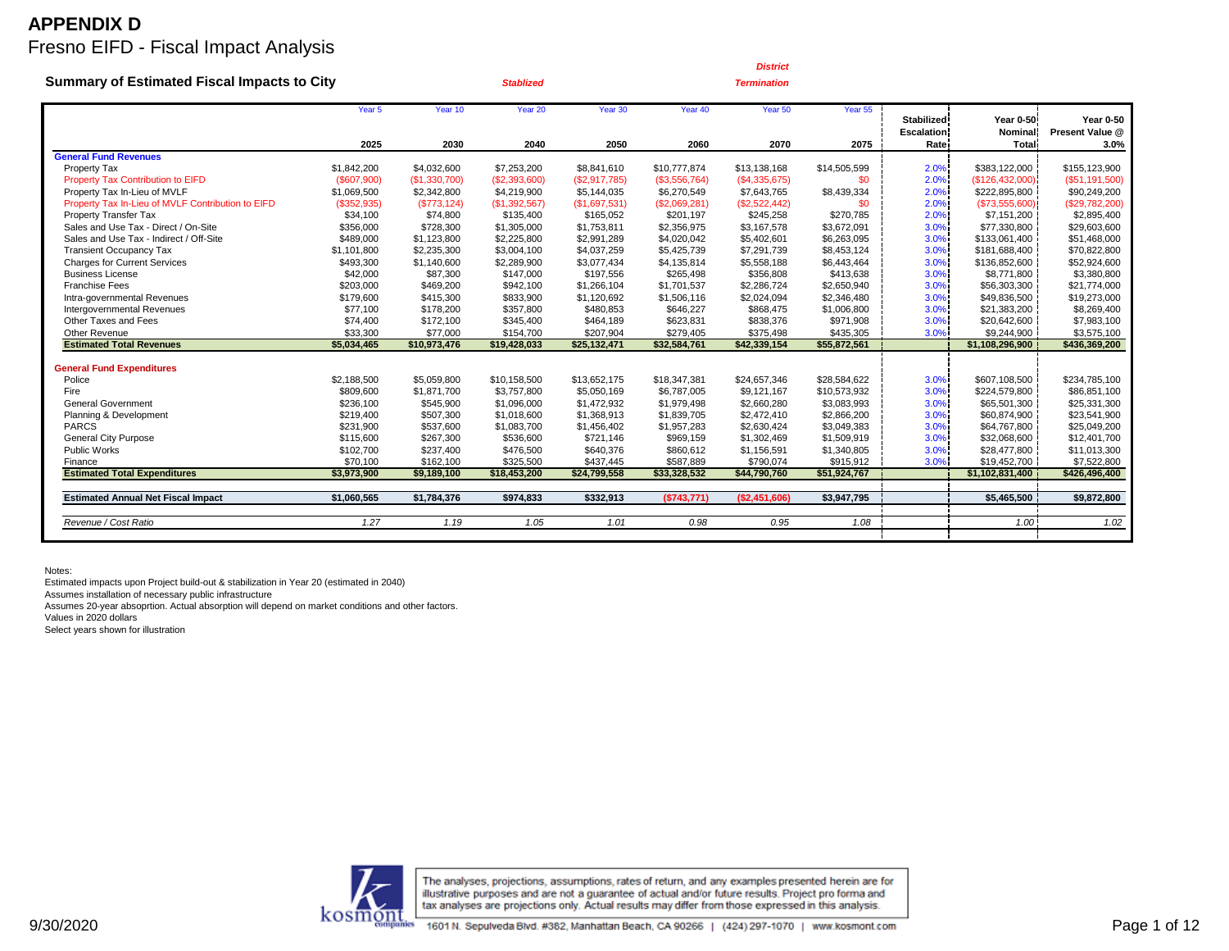|                                                    |                      |                       |                        |                        |                        | <b>District</b>        |                        |                                        |                             |                                     |
|----------------------------------------------------|----------------------|-----------------------|------------------------|------------------------|------------------------|------------------------|------------------------|----------------------------------------|-----------------------------|-------------------------------------|
| <b>Summary of Estimated Fiscal Impacts to City</b> |                      |                       | <b>Stablized</b>       |                        |                        | <b>Termination</b>     |                        |                                        |                             |                                     |
|                                                    | Year <sub>5</sub>    | Year 10               | Year 20                | Year 30                | Year 40                | Year 50                | Year 55                | <b>Stabilized</b><br><b>Escalation</b> | Year 0-50<br><b>Nominal</b> | <b>Year 0-50</b><br>Present Value @ |
|                                                    | 2025                 | 2030                  | 2040                   | 2050                   | 2060                   | 2070                   | 2075                   | Rate                                   | <b>Total</b>                | 3.0%                                |
| <b>General Fund Revenues</b>                       |                      |                       |                        |                        |                        |                        |                        |                                        |                             |                                     |
| Property Tax                                       | \$1,842,200          | \$4,032,600           | \$7,253,200            | \$8,841,610            | \$10,777,874           | \$13,138,168           | \$14,505,599           | 2.0%                                   | \$383,122,000               | \$155,123,900                       |
| Property Tax Contribution to EIFD                  | (S607,900)           | (S1, 330, 700)        | (\$2,393,600)          | (S2, 917, 785)         | (\$3,556,764)          | (\$4,335,675)          | \$0                    | 2.0%                                   | (\$126,432,000)             | ( \$51, 191, 500)                   |
| Property Tax In-Lieu of MVLF                       | \$1,069,500          | \$2,342,800           | \$4,219,900            | \$5,144,035            | \$6,270,549            | \$7,643,765            | \$8,439,334            | 2.0%                                   | \$222,895,800               | \$90,249,200                        |
| Property Tax In-Lieu of MVLF Contribution to EIFD  | (\$352,935)          | (S773, 124)           | (\$1,392,567)          | (\$1,697,531)          | (\$2,069,281)          | (\$2,522,442)          | \$0                    | 2.0%                                   | (\$73,555,600)              | (\$29,782,200)                      |
| Property Transfer Tax                              | \$34,100             | \$74,800              | \$135,400              | \$165,052              | \$201,197              | \$245,258              | \$270,785              | 2.0%                                   | \$7,151,200                 | \$2,895,400                         |
| Sales and Use Tax - Direct / On-Site               | \$356,000            | \$728,300             | \$1,305,000            | \$1,753,811            | \$2,356,975            | \$3,167,578            | \$3,672,091            | 3.0%                                   | \$77,330,800                | \$29,603,600                        |
| Sales and Use Tax - Indirect / Off-Site            | \$489,000            | \$1,123,800           | \$2,225,800            | \$2,991.289            | \$4,020,042            | \$5,402,601            | \$6,263,095            | 3.0%                                   | \$133,061,400               | \$51,468,000                        |
| <b>Transient Occupancy Tax</b>                     | \$1,101,800          | \$2,235,300           | \$3,004,100            | \$4,037,259            | \$5,425,739            | \$7,291,739            | \$8,453,124            | 3.0%<br>3.0%                           | \$181,688,400               | \$70,822,800<br>\$52,924,600        |
| <b>Charges for Current Services</b>                | \$493,300            | \$1,140,600           | \$2,289,900            | \$3,077,434            | \$4,135,814            | \$5,558,188            | \$6,443,464            | 3.0%                                   | \$136,852,600               |                                     |
| <b>Business License</b>                            | \$42,000             | \$87,300              | \$147.000              | \$197,556              | \$265.498              | \$356,808              | \$413,638              |                                        | \$8,771,800                 | \$3,380,800                         |
| <b>Franchise Fees</b>                              | \$203,000            | \$469,200             | \$942,100              | \$1,266,104            | \$1,701,537            | \$2,286,724            | \$2,650,940            | 3.0%                                   | \$56,303,300                | \$21,774,000                        |
| Intra-governmental Revenues                        | \$179,600            | \$415,300             | \$833,900              | \$1,120,692            | \$1,506,116            | \$2,024,094            | \$2,346,480            | 3.0%                                   | \$49,836,500                | \$19,273,000                        |
| Intergovernmental Revenues<br>Other Taxes and Fees | \$77,100             | \$178,200             | \$357,800              | \$480,853              | \$646,227              | \$868,475              | \$1,006,800            | 3.0%                                   | \$21,383,200                | \$8,269,400                         |
| Other Revenue                                      | \$74,400<br>\$33,300 | \$172,100<br>\$77,000 | \$345,400<br>\$154,700 | \$464,189<br>\$207,904 | \$623,831<br>\$279,405 | \$838,376<br>\$375,498 | \$971,908<br>\$435,305 | 3.0%<br>3.0%                           | \$20,642,600<br>\$9,244,900 | \$7,983,100<br>\$3,575,100          |
| <b>Estimated Total Revenues</b>                    | \$5,034,465          |                       |                        | \$25,132,471           | \$32,584,761           | \$42,339,154           | \$55,872,561           |                                        |                             | \$436,369,200                       |
|                                                    |                      | \$10,973,476          | \$19,428,033           |                        |                        |                        |                        |                                        | \$1,108,296,900             |                                     |
| <b>General Fund Expenditures</b>                   |                      |                       |                        |                        |                        |                        |                        |                                        |                             |                                     |
| Police                                             | \$2,188,500          | \$5,059,800           | \$10,158,500           | \$13,652,175           | \$18,347,381           | \$24,657,346           | \$28,584,622           | 3.0%                                   | \$607.108.500               | \$234,785,100                       |
| Fire                                               | \$809,600            | \$1,871,700           | \$3,757,800            | \$5,050,169            | \$6,787,005            | \$9,121,167            | \$10,573,932           | 3.0%                                   | \$224,579,800               | \$86,851,100                        |
| <b>General Government</b>                          | \$236,100            | \$545,900             | \$1,096,000            | \$1,472,932            | \$1,979,498            | \$2,660,280            | \$3,083,993            | 3.0%                                   | \$65,501,300                | \$25,331,300                        |
| Planning & Development                             | \$219,400            | \$507,300             | \$1,018,600            | \$1,368,913            | \$1,839,705            | \$2,472,410            | \$2,866,200            | 3.0%                                   | \$60,874,900                | \$23,541,900                        |
| <b>PARCS</b>                                       | \$231,900            | \$537,600             | \$1,083,700            | \$1,456,402            | \$1,957,283            | \$2,630,424            | \$3,049,383            | 3.0%                                   | \$64,767,800                | \$25,049,200                        |
| <b>General City Purpose</b>                        | \$115,600            | \$267,300             | \$536,600              | \$721.146              | \$969.159              | \$1,302,469            | \$1,509,919            | 3.0%                                   | \$32,068,600                | \$12,401,700                        |
| Public Works                                       | \$102,700            | \$237,400             | \$476,500              | \$640,376              | \$860,612              | \$1,156,591            | \$1,340,805            | 3.0%                                   | \$28,477,800                | \$11,013,300                        |
| Finance                                            | \$70,100             | \$162,100             | \$325,500              | \$437,445              | \$587,889              | \$790,074              | \$915,912              | 3.0%                                   | \$19,452,700                | \$7,522,800                         |
| <b>Estimated Total Expenditures</b>                | \$3,973,900          | \$9,189,100           | \$18,453,200           | \$24,799,558           | \$33,328,532           | \$44,790,760           | \$51,924,767           |                                        | \$1,102,831,400             | \$426,496,400                       |
|                                                    |                      |                       |                        |                        |                        |                        |                        |                                        |                             |                                     |
| <b>Estimated Annual Net Fiscal Impact</b>          | \$1,060,565          | \$1,784,376           | \$974,833              | \$332,913              | (S743, 771)            | (\$2,451,606)          | \$3,947,795            |                                        | \$5,465,500                 | \$9,872,800                         |
| Revenue / Cost Ratio                               | 1.27                 | 1.19                  | 1.05                   | 1.01                   | 0.98                   | 0.95                   | 1.08                   |                                        | 1.00                        | 1.02                                |
|                                                    |                      |                       |                        |                        |                        |                        |                        |                                        |                             |                                     |

Notes:

Estimated impacts upon Project build-out & stabilization in Year 20 (estimated in 2040)

Assumes installation of necessary public infrastructure

Assumes 20-year absoprtion. Actual absorption will depend on market conditions and other factors.

Values in 2020 dollars

Select years shown for illustration

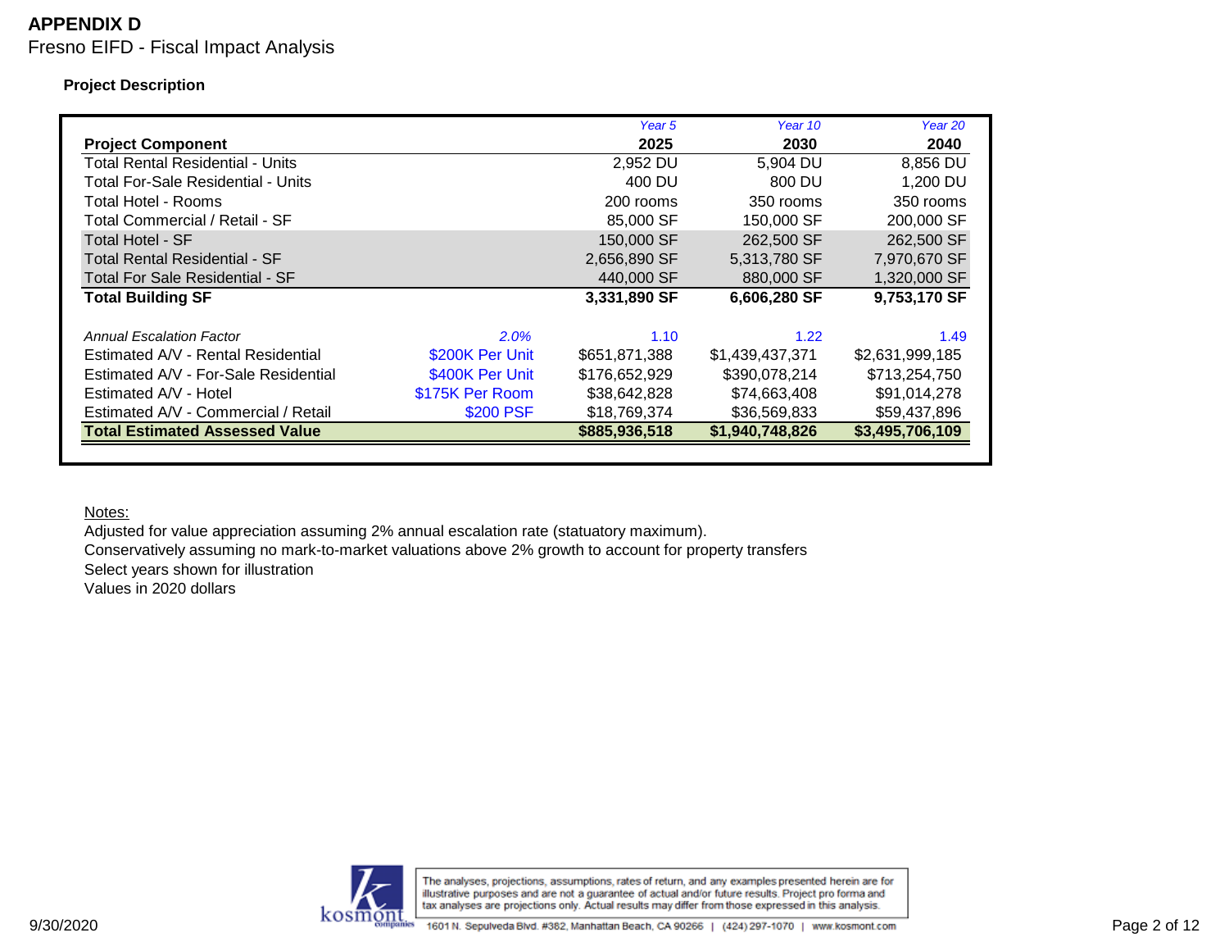### **Project Description**

|                                        |                 | Year 5        | Year 10         | Year 20         |
|----------------------------------------|-----------------|---------------|-----------------|-----------------|
| <b>Project Component</b>               |                 | 2025          | 2030            | 2040            |
| Total Rental Residential - Units       |                 | 2,952 DU      | 5,904 DU        | 8,856 DU        |
| Total For-Sale Residential - Units     |                 | 400 DU        | 800 DU          | 1,200 DU        |
| Total Hotel - Rooms                    |                 | 200 rooms     | 350 rooms       | 350 rooms       |
| Total Commercial / Retail - SF         |                 | 85,000 SF     | 150,000 SF      | 200,000 SF      |
| <b>Total Hotel - SF</b>                |                 | 150,000 SF    | 262,500 SF      | 262,500 SF      |
| Total Rental Residential - SF          |                 | 2,656,890 SF  | 5,313,780 SF    | 7,970,670 SF    |
| <b>Total For Sale Residential - SF</b> |                 | 440,000 SF    | 880,000 SF      | 1,320,000 SF    |
| <b>Total Building SF</b>               |                 | 3,331,890 SF  | 6,606,280 SF    | 9,753,170 SF    |
|                                        |                 |               |                 |                 |
| Annual Escalation Factor               | 2.0%            | 1.10          | 1.22            | 1.49            |
| Estimated A/V - Rental Residential     | \$200K Per Unit | \$651,871,388 | \$1,439,437,371 | \$2,631,999,185 |
| Estimated A/V - For-Sale Residential   | \$400K Per Unit | \$176,652,929 | \$390,078,214   | \$713,254,750   |
| Estimated A/V - Hotel                  | \$175K Per Room | \$38,642,828  | \$74,663,408    | \$91,014,278    |
| Estimated A/V - Commercial / Retail    | \$200 PSF       | \$18,769,374  | \$36,569,833    | \$59,437,896    |
| <b>Total Estimated Assessed Value</b>  |                 | \$885,936,518 | \$1,940,748,826 | \$3,495,706,109 |
|                                        |                 |               |                 |                 |

Notes:

Adjusted for value appreciation assuming 2% annual escalation rate (statuatory maximum). Conservatively assuming no mark-to-market valuations above 2% growth to account for property transfers Select years shown for illustration Values in 2020 dollars

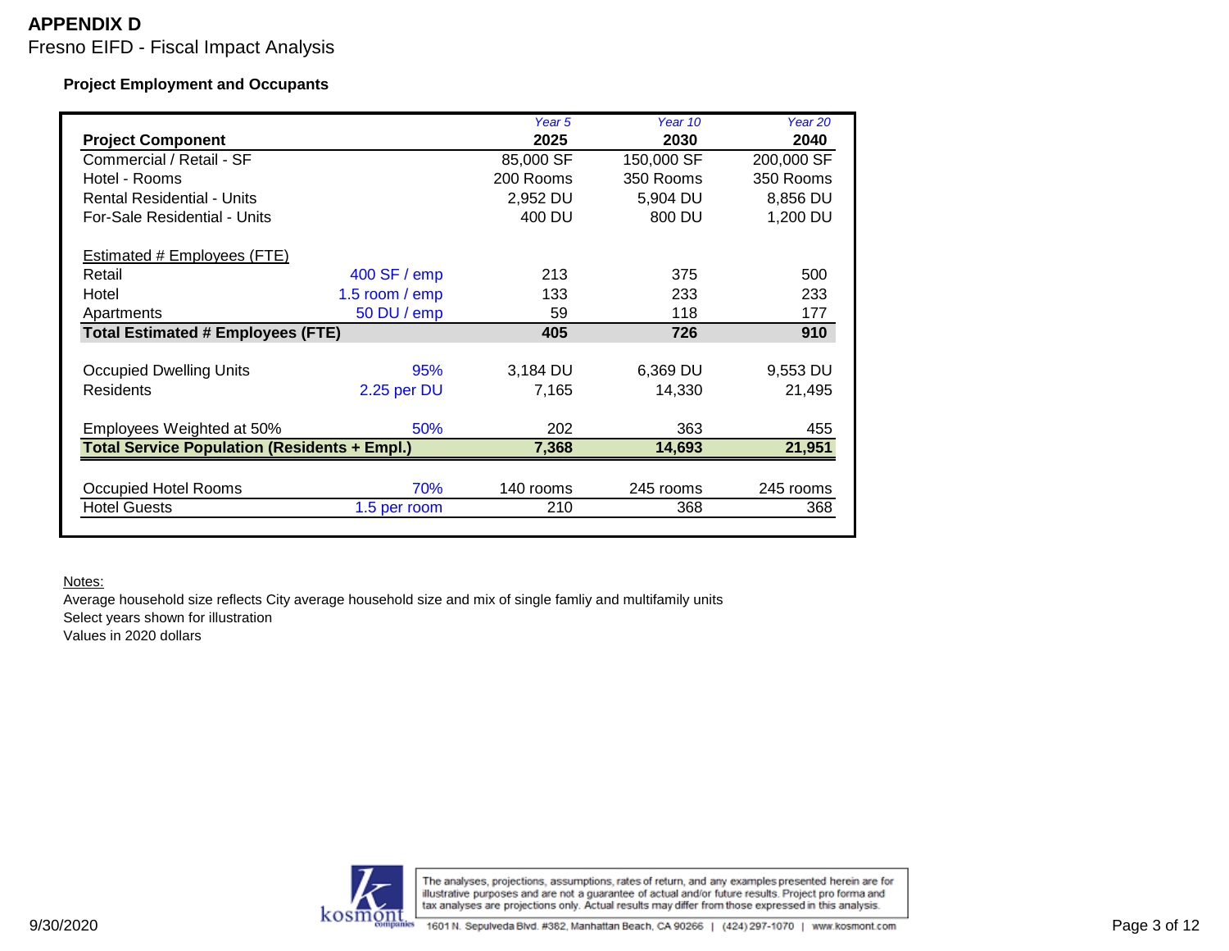### **Project Employment and Occupants**

| 2040<br>200,000 SF<br>350 Rooms<br>8,856 DU<br>1,200 DU<br>500 |
|----------------------------------------------------------------|
|                                                                |
|                                                                |
|                                                                |
|                                                                |
|                                                                |
|                                                                |
|                                                                |
| 233                                                            |
| 177                                                            |
| 910                                                            |
|                                                                |
| 9,553 DU                                                       |
| 21,495                                                         |
| 455                                                            |
| 21,951                                                         |
|                                                                |
| 245 rooms                                                      |
|                                                                |
|                                                                |

#### Notes:

Average household size reflects City average household size and mix of single famliy and multifamily units Select years shown for illustration Values in 2020 dollars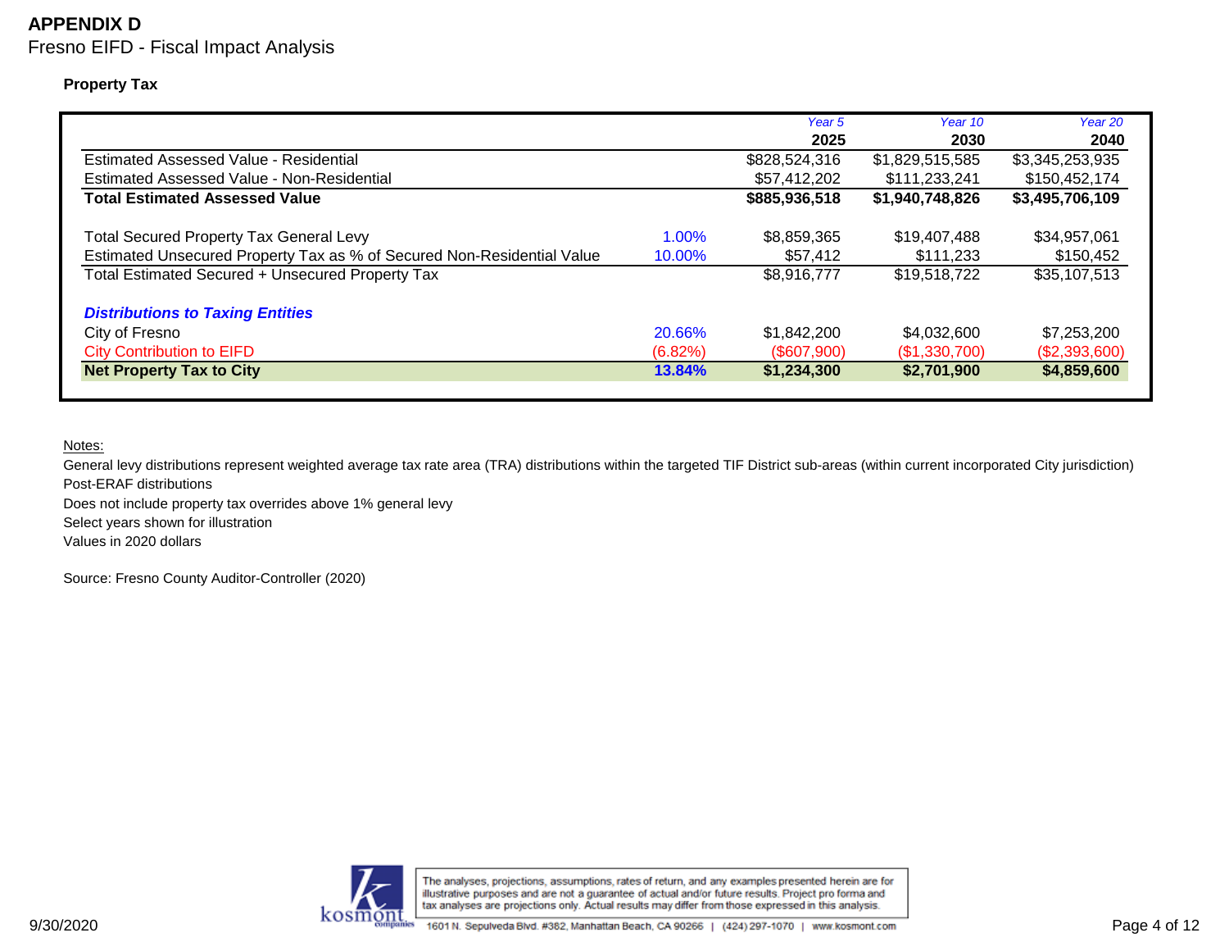# **APPENDIX D**

Fresno EIFD - Fiscal Impact Analysis

**Property Tax**

|                                                                        |          | Year 5        | Year 10         | Year 20         |
|------------------------------------------------------------------------|----------|---------------|-----------------|-----------------|
|                                                                        |          | 2025          | 2030            | 2040            |
| Estimated Assessed Value - Residential                                 |          | \$828,524,316 | \$1,829,515,585 | \$3,345,253,935 |
| Estimated Assessed Value - Non-Residential                             |          | \$57,412,202  | \$111,233,241   | \$150,452,174   |
| <b>Total Estimated Assessed Value</b>                                  |          | \$885,936,518 | \$1,940,748,826 | \$3,495,706,109 |
| <b>Total Secured Property Tax General Levy</b>                         | $1.00\%$ | \$8,859,365   | \$19,407,488    | \$34,957,061    |
| Estimated Unsecured Property Tax as % of Secured Non-Residential Value | 10.00%   | \$57,412      | \$111,233       | \$150,452       |
| Total Estimated Secured + Unsecured Property Tax                       |          | \$8,916,777   | \$19,518,722    | \$35,107,513    |
| <b>Distributions to Taxing Entities</b>                                |          |               |                 |                 |
| City of Fresno                                                         | 20.66%   | \$1,842,200   | \$4,032,600     | \$7,253,200     |
| <b>City Contribution to EIFD</b>                                       | (6.82%)  | (\$607,900)   | (\$1,330,700)   | (\$2,393,600)   |
| <b>Net Property Tax to City</b>                                        | 13.84%   | \$1,234,300   | \$2,701,900     | \$4,859,600     |

Notes:

General levy distributions represent weighted average tax rate area (TRA) distributions within the targeted TIF District sub-areas (within current incorporated City jurisdiction) Post-ERAF distributions

Does not include property tax overrides above 1% general levy

Select years shown for illustration

Values in 2020 dollars

Source: Fresno County Auditor-Controller (2020)

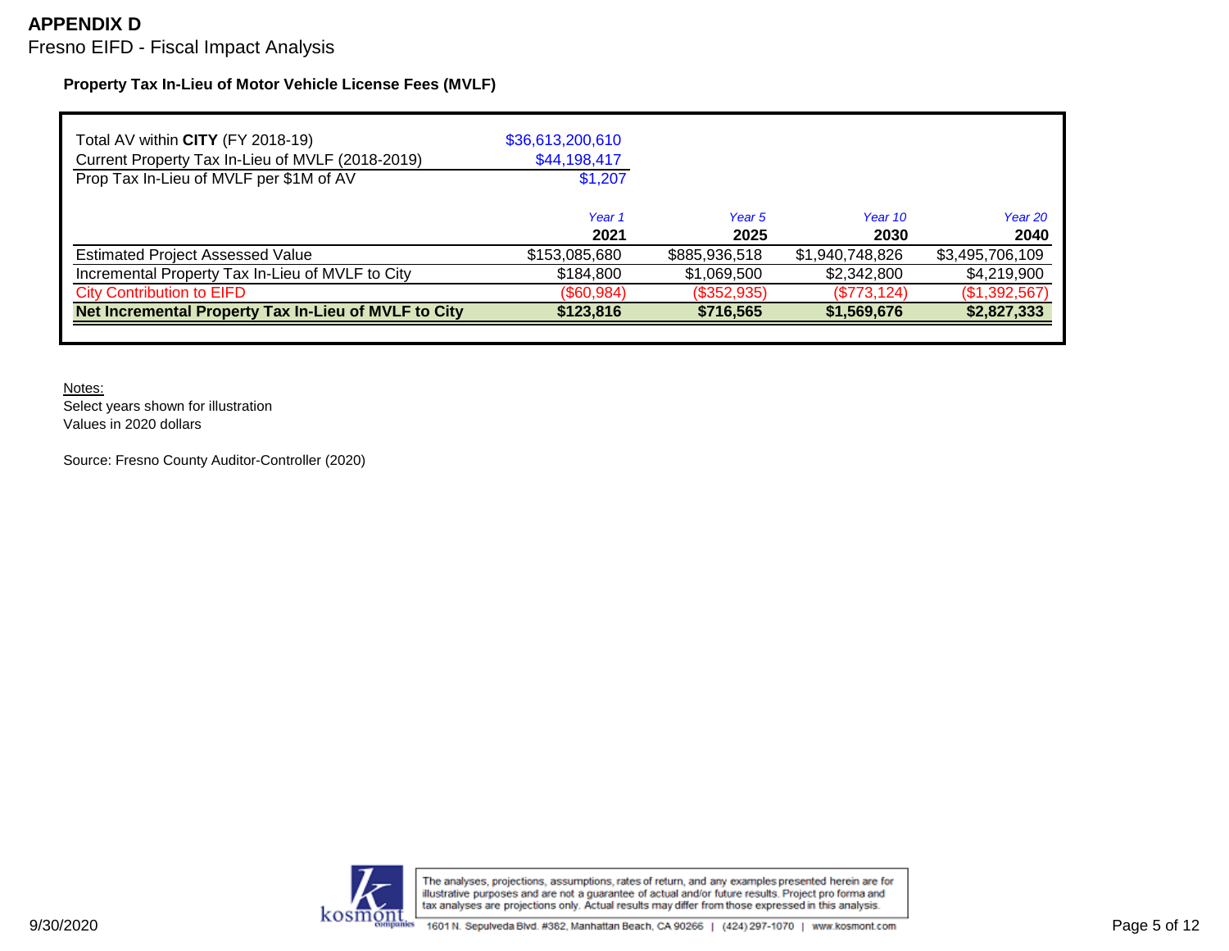# **APPENDIX D**

Fresno EIFD - Fiscal Impact Analysis

### **Property Tax In-Lieu of Motor Vehicle License Fees (MVLF)**

| \$36,613,200,610<br>\$44,198,417 |                |                 |                 |
|----------------------------------|----------------|-----------------|-----------------|
| \$1,207                          |                |                 |                 |
| Year <sub>1</sub><br>2021        | Year 5<br>2025 | Year 10<br>2030 | Year 20<br>2040 |
| \$153,085,680                    | \$885,936,518  | \$1,940,748,826 | \$3,495,706,109 |
| \$184,800                        | \$1,069,500    | \$2,342,800     | \$4,219,900     |
| (\$60,984)                       | (\$352,935)    | (\$773, 124)    | (\$1,392,567)   |
| \$123,816                        | \$716,565      | \$1,569,676     | \$2,827,333     |
|                                  |                |                 |                 |

Notes:

Select years shown for illustration Values in 2020 dollars

Source: Fresno County Auditor-Controller (2020)

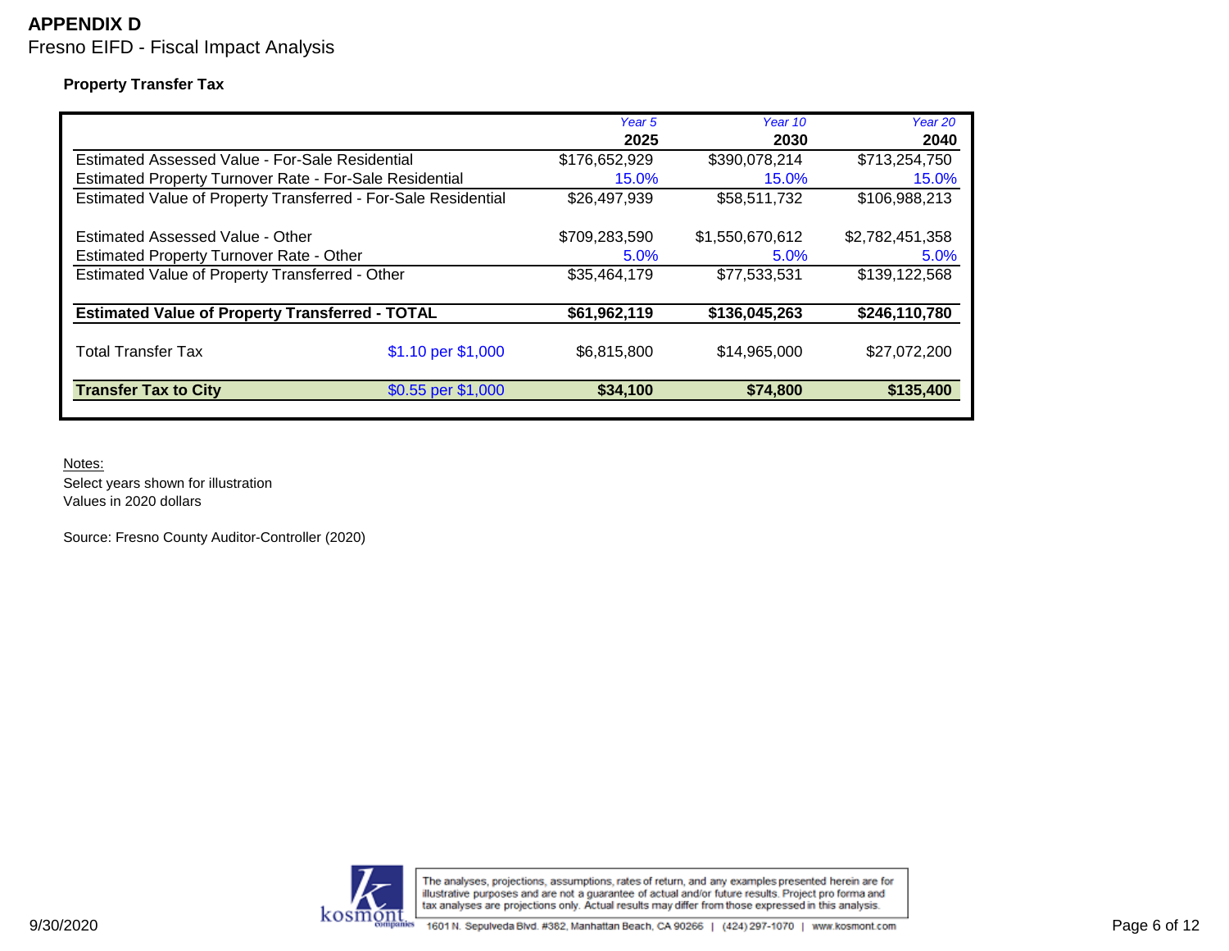### **Property Transfer Tax**

|                                                                |                    | Year 5<br>2025 | Year 10<br>2030 | Year 20<br>2040 |
|----------------------------------------------------------------|--------------------|----------------|-----------------|-----------------|
| Estimated Assessed Value - For-Sale Residential                |                    | \$176,652,929  | \$390,078,214   | \$713,254,750   |
| Estimated Property Turnover Rate - For-Sale Residential        |                    | 15.0%          | 15.0%           | 15.0%           |
| Estimated Value of Property Transferred - For-Sale Residential |                    | \$26,497,939   | \$58,511,732    | \$106,988,213   |
| Estimated Assessed Value - Other                               |                    | \$709,283,590  | \$1.550.670.612 | \$2,782,451,358 |
| <b>Estimated Property Turnover Rate - Other</b>                |                    | 5.0%           | 5.0%            | 5.0%            |
| Estimated Value of Property Transferred - Other                |                    | \$35,464,179   | \$77,533,531    | \$139,122,568   |
| <b>Estimated Value of Property Transferred - TOTAL</b>         |                    | \$61,962,119   | \$136,045,263   | \$246,110,780   |
| <b>Total Transfer Tax</b>                                      | \$1.10 per \$1,000 | \$6,815,800    | \$14,965,000    | \$27,072,200    |
| <b>Transfer Tax to City</b>                                    | \$0.55 per \$1,000 | \$34,100       | \$74,800        | \$135,400       |

Notes:

Select years shown for illustration Values in 2020 dollars

Source: Fresno County Auditor-Controller (2020)

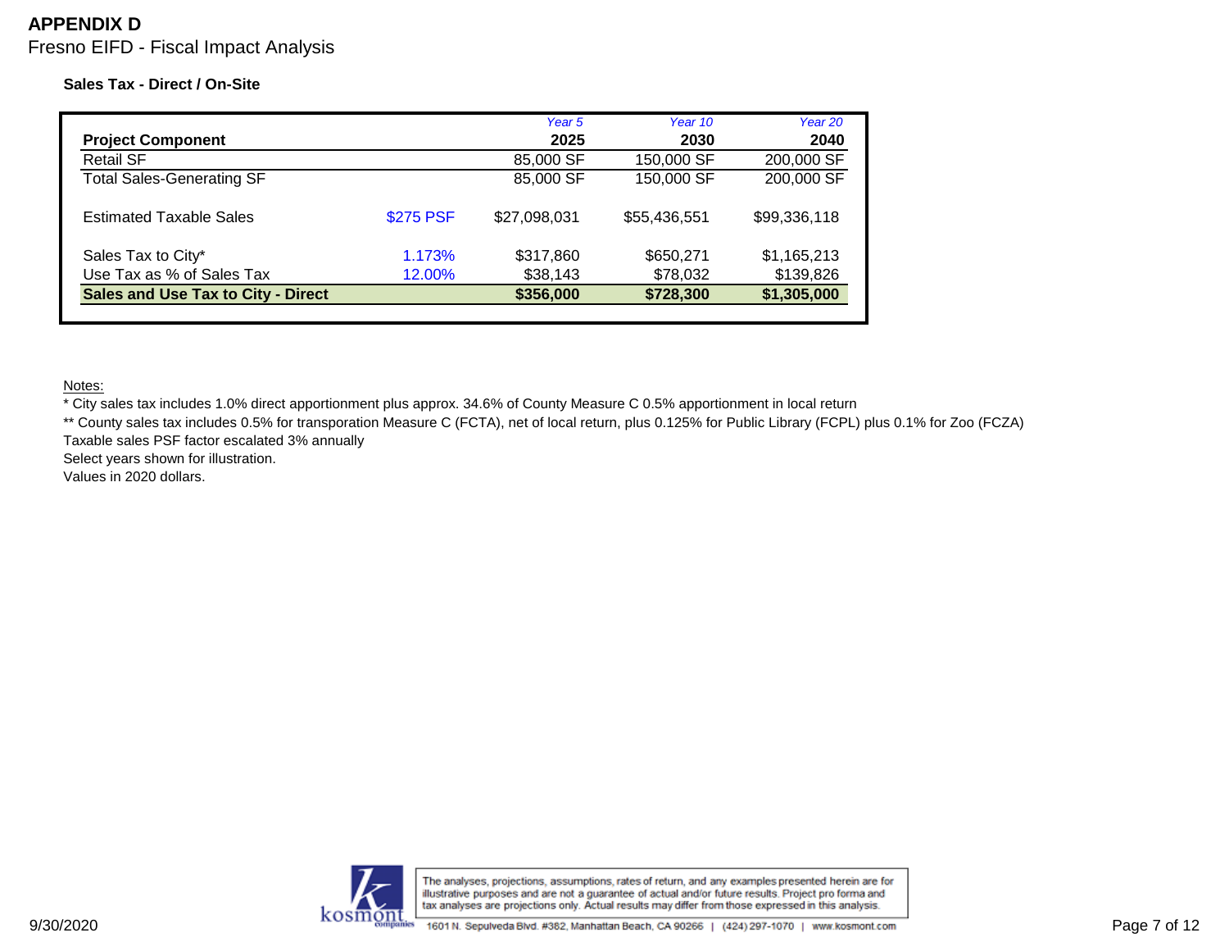# **APPENDIX D**

Fresno EIFD - Fiscal Impact Analysis

### **Sales Tax - Direct / On-Site**

|                                           |           | Year 5       | Year 10      | Year 20      |
|-------------------------------------------|-----------|--------------|--------------|--------------|
| <b>Project Component</b>                  |           | 2025         | 2030         | 2040         |
| <b>Retail SF</b>                          |           | 85,000 SF    | 150,000 SF   | 200,000 SF   |
| <b>Total Sales-Generating SF</b>          |           | 85,000 SF    | 150,000 SF   | 200,000 SF   |
| <b>Estimated Taxable Sales</b>            | \$275 PSF | \$27,098,031 | \$55,436,551 | \$99,336,118 |
| Sales Tax to City*                        | 1.173%    | \$317,860    | \$650,271    | \$1,165,213  |
| Use Tax as % of Sales Tax                 | 12.00%    | \$38,143     | \$78,032     | \$139,826    |
| <b>Sales and Use Tax to City - Direct</b> |           | \$356,000    | \$728,300    | \$1,305,000  |

Notes:

\* City sales tax includes 1.0% direct apportionment plus approx. 34.6% of County Measure C 0.5% apportionment in local return

\*\* County sales tax includes 0.5% for transporation Measure C (FCTA), net of local return, plus 0.125% for Public Library (FCPL) plus 0.1% for Zoo (FCZA) Taxable sales PSF factor escalated 3% annually

Select years shown for illustration.

Values in 2020 dollars.

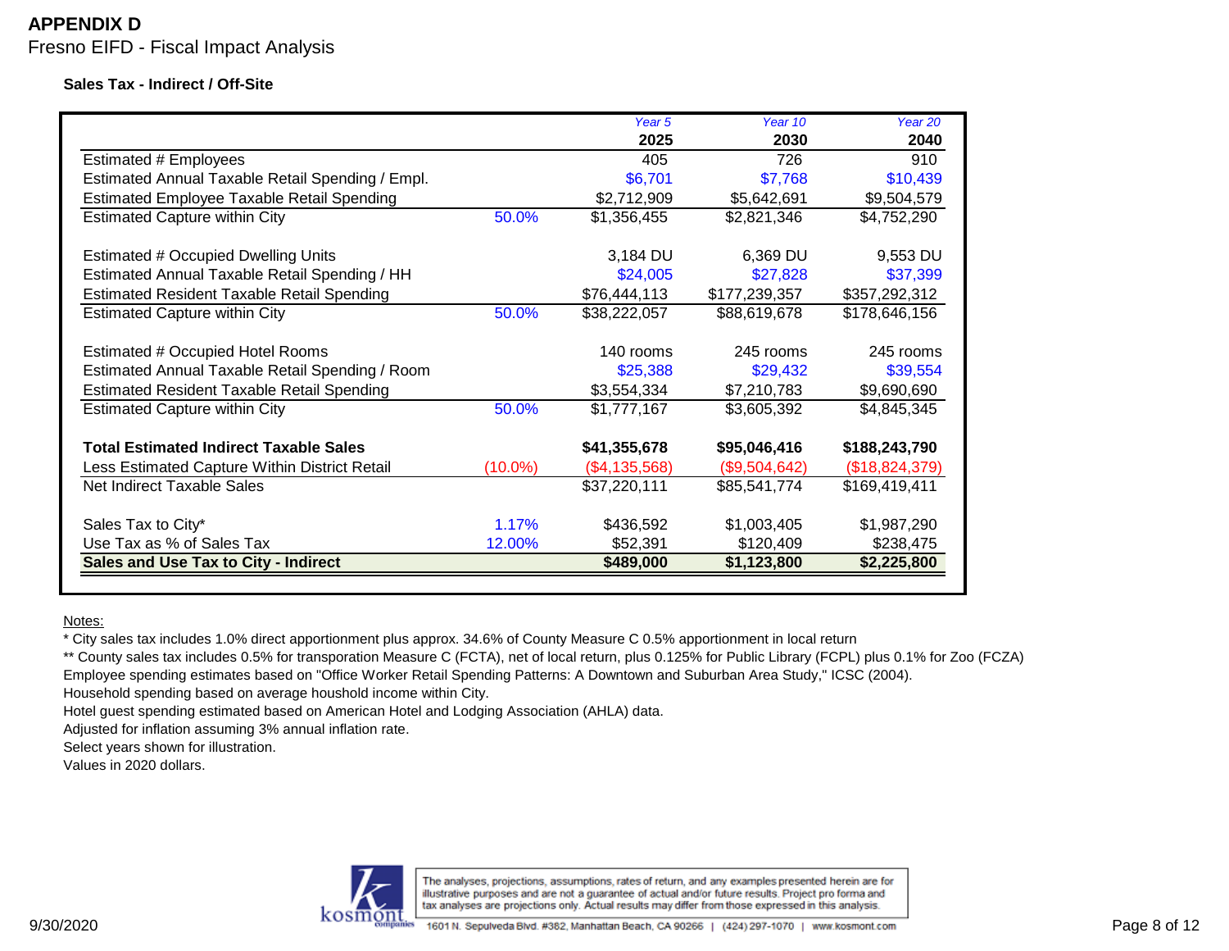#### **Sales Tax - Indirect / Off-Site**

|                                                   |            | Year 5        | Year 10       | Year 20        |
|---------------------------------------------------|------------|---------------|---------------|----------------|
|                                                   |            | 2025          | 2030          | 2040           |
| Estimated # Employees                             |            | 405           | 726           | 910            |
| Estimated Annual Taxable Retail Spending / Empl.  |            | \$6,701       | \$7,768       | \$10,439       |
| Estimated Employee Taxable Retail Spending        |            | \$2,712,909   | \$5,642,691   | \$9,504,579    |
| <b>Estimated Capture within City</b>              | 50.0%      | \$1,356,455   | \$2,821,346   | \$4,752,290    |
|                                                   |            |               |               |                |
| <b>Estimated # Occupied Dwelling Units</b>        |            | 3,184 DU      | 6,369 DU      | 9,553 DU       |
| Estimated Annual Taxable Retail Spending / HH     |            | \$24,005      | \$27,828      | \$37,399       |
| <b>Estimated Resident Taxable Retail Spending</b> |            | \$76,444,113  | \$177,239,357 | \$357,292,312  |
| <b>Estimated Capture within City</b>              | 50.0%      | \$38,222,057  | \$88,619,678  | \$178,646,156  |
| <b>Estimated # Occupied Hotel Rooms</b>           |            | 140 rooms     | 245 rooms     | 245 rooms      |
| Estimated Annual Taxable Retail Spending / Room   |            | \$25,388      | \$29,432      | \$39,554       |
| <b>Estimated Resident Taxable Retail Spending</b> |            | \$3,554,334   | \$7,210,783   | \$9,690,690    |
| <b>Estimated Capture within City</b>              | 50.0%      | \$1,777,167   | \$3,605,392   | \$4,845,345    |
| <b>Total Estimated Indirect Taxable Sales</b>     |            | \$41,355,678  | \$95,046,416  | \$188,243,790  |
| Less Estimated Capture Within District Retail     | $(10.0\%)$ | (\$4,135,568) | (\$9,504,642) | (\$18,824,379) |
| Net Indirect Taxable Sales                        |            | \$37,220,111  | \$85,541,774  | \$169,419,411  |
| Sales Tax to City*                                | 1.17%      | \$436,592     | \$1,003,405   | \$1,987,290    |
| Use Tax as % of Sales Tax                         | 12.00%     | \$52,391      | \$120,409     | \$238,475      |
| Sales and Use Tax to City - Indirect              |            | \$489,000     | \$1,123,800   | \$2,225,800    |
|                                                   |            |               |               |                |

Notes:

\* City sales tax includes 1.0% direct apportionment plus approx. 34.6% of County Measure C 0.5% apportionment in local return

\*\* County sales tax includes 0.5% for transporation Measure C (FCTA), net of local return, plus 0.125% for Public Library (FCPL) plus 0.1% for Zoo (FCZA) Employee spending estimates based on "Office Worker Retail Spending Patterns: A Downtown and Suburban Area Study," ICSC (2004). Household spending based on average houshold income within City.

Hotel guest spending estimated based on American Hotel and Lodging Association (AHLA) data.

Adjusted for inflation assuming 3% annual inflation rate.

Select years shown for illustration.

Values in 2020 dollars.

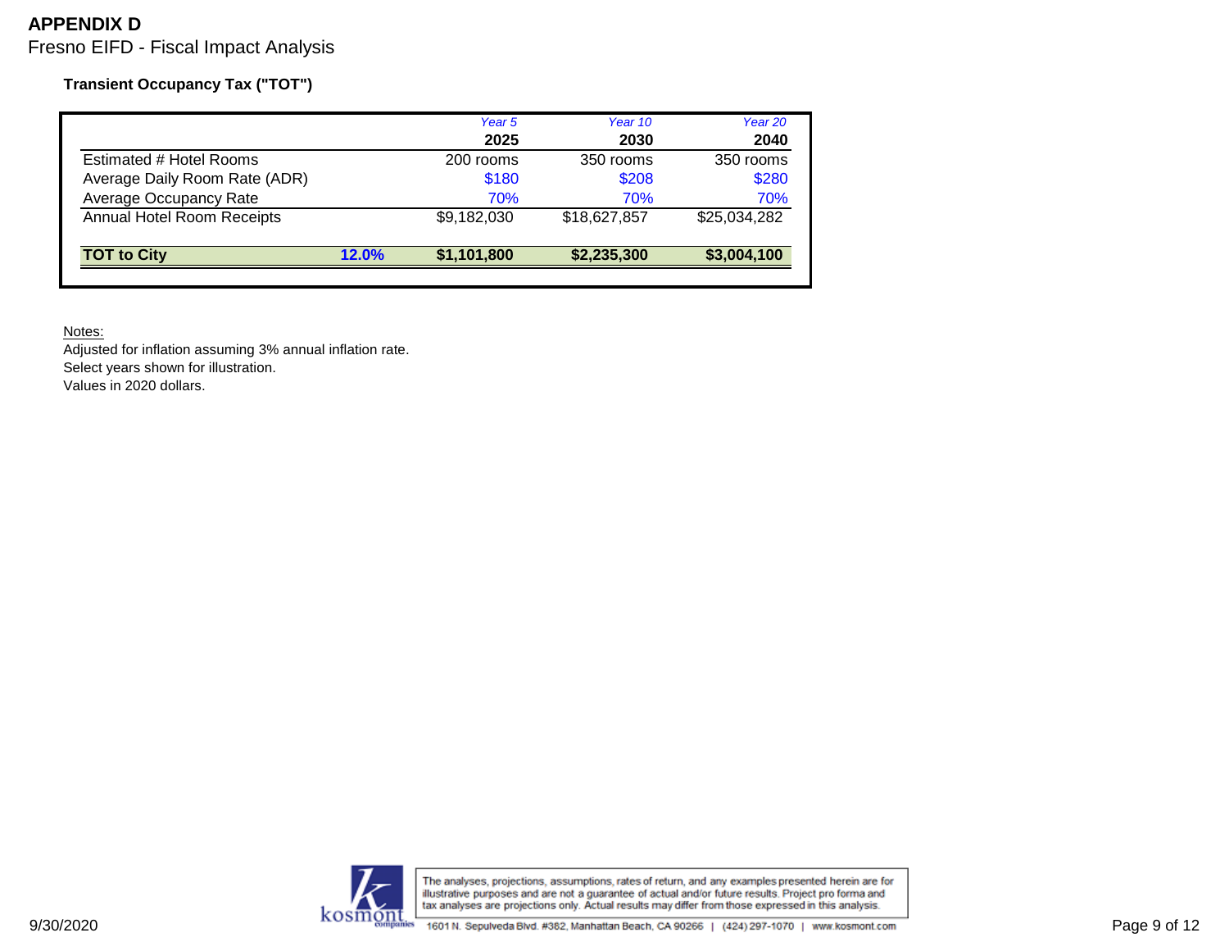**Transient Occupancy Tax ("TOT")**

|                               |       | Year 5      | Year 10      | Year 20      |
|-------------------------------|-------|-------------|--------------|--------------|
|                               |       | 2025        | 2030         | 2040         |
| Estimated # Hotel Rooms       |       | 200 rooms   | 350 rooms    | 350 rooms    |
| Average Daily Room Rate (ADR) |       | \$180       | \$208        | \$280        |
| Average Occupancy Rate        |       | 70%         | 70%          | 70%          |
| Annual Hotel Room Receipts    |       | \$9,182,030 | \$18,627,857 | \$25,034,282 |
| <b>TOT to City</b>            | 12.0% | \$1,101,800 | \$2,235,300  | \$3,004,100  |

Notes:

Adjusted for inflation assuming 3% annual inflation rate. Select years shown for illustration. Values in 2020 dollars.



The analyses, projections, assumptions, rates of return, and any examples presented herein are for<br>illustrative purposes and are not a guarantee of actual and/or future results. Project pro forma and<br>tax analyses are proje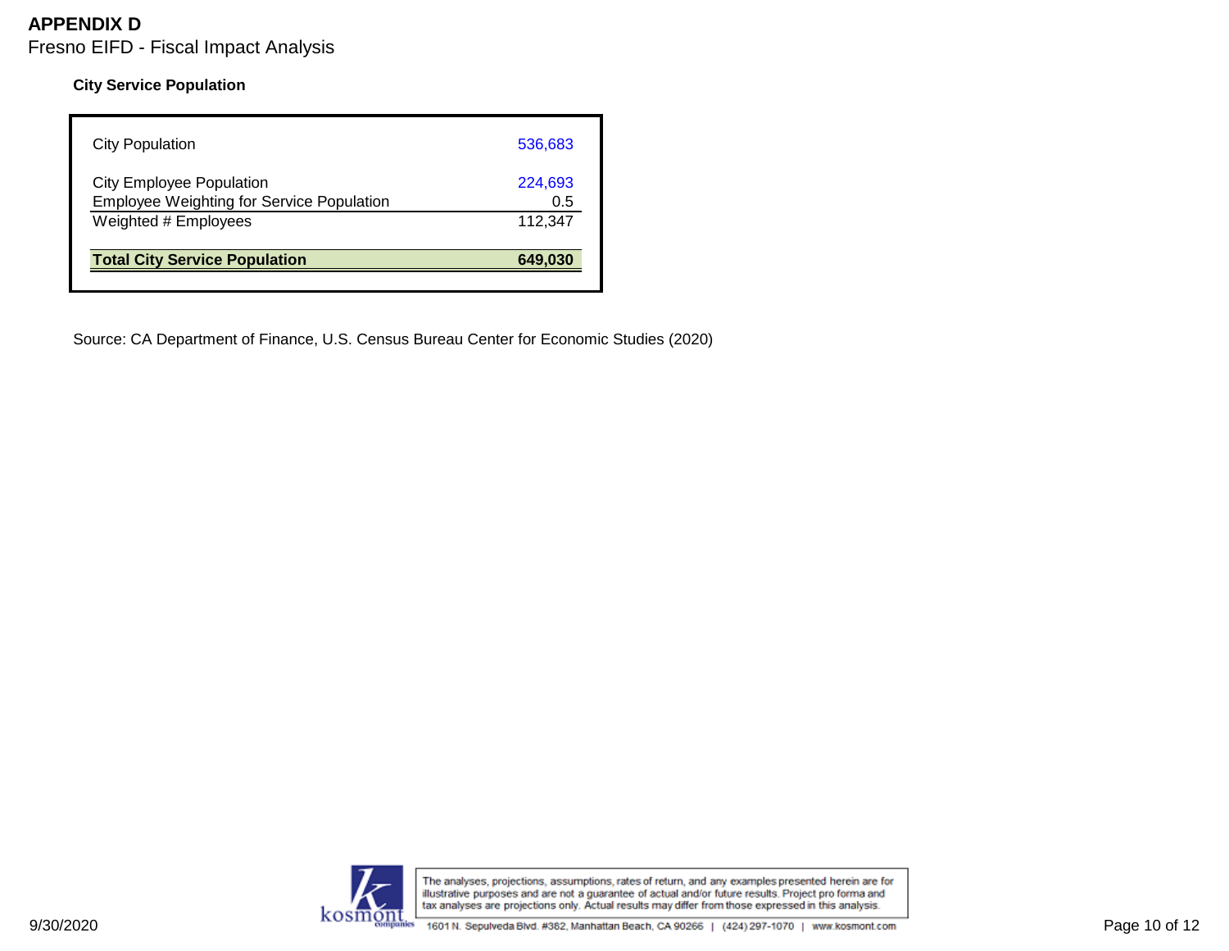### **City Service Population**

| <b>Total City Service Population</b>             | 649,030 |
|--------------------------------------------------|---------|
| Weighted # Employees                             | 112.347 |
| <b>Employee Weighting for Service Population</b> | 0.5     |
| <b>City Employee Population</b>                  | 224,693 |
| <b>City Population</b>                           | 536,683 |

Source: CA Department of Finance, U.S. Census Bureau Center for Economic Studies (2020)

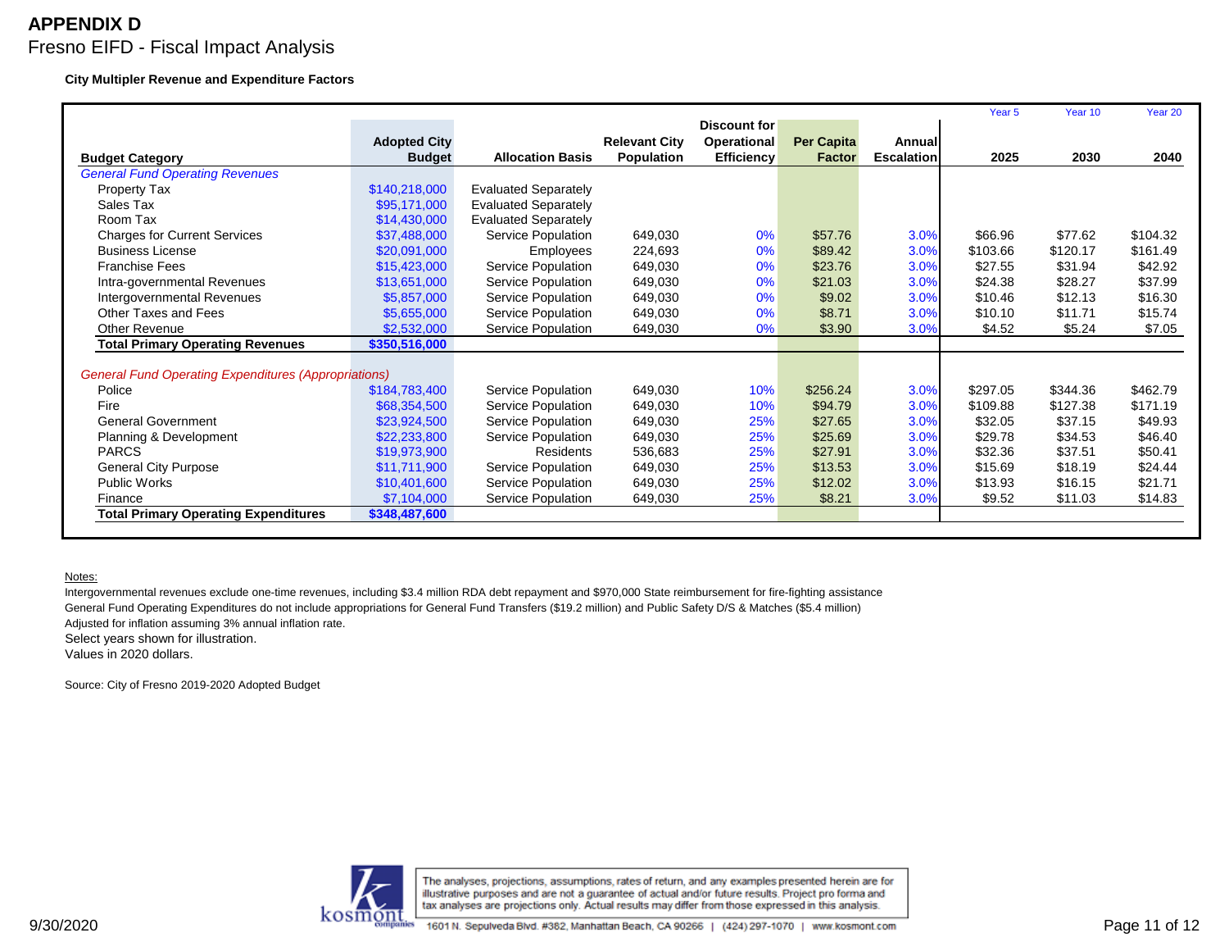#### **City Multipler Revenue and Expenditure Factors**

|                                                             |                     |                             |                      |                    |                   |                   | Year <sub>5</sub> | Year 10  | Year 20  |
|-------------------------------------------------------------|---------------------|-----------------------------|----------------------|--------------------|-------------------|-------------------|-------------------|----------|----------|
|                                                             |                     |                             |                      | Discount for       |                   |                   |                   |          |          |
|                                                             | <b>Adopted City</b> |                             | <b>Relevant City</b> | <b>Operational</b> | <b>Per Capita</b> | Annual            |                   |          |          |
| <b>Budget Category</b>                                      | <b>Budget</b>       | <b>Allocation Basis</b>     | <b>Population</b>    | <b>Efficiency</b>  | <b>Factor</b>     | <b>Escalation</b> | 2025              | 2030     | 2040     |
| <b>General Fund Operating Revenues</b>                      |                     |                             |                      |                    |                   |                   |                   |          |          |
| Property Tax                                                | \$140,218,000       | <b>Evaluated Separately</b> |                      |                    |                   |                   |                   |          |          |
| Sales Tax                                                   | \$95,171,000        | <b>Evaluated Separately</b> |                      |                    |                   |                   |                   |          |          |
| Room Tax                                                    | \$14,430,000        | <b>Evaluated Separately</b> |                      |                    |                   |                   |                   |          |          |
| <b>Charges for Current Services</b>                         | \$37,488,000        | Service Population          | 649,030              | 0%                 | \$57.76           | 3.0%              | \$66.96           | \$77.62  | \$104.32 |
| <b>Business License</b>                                     | \$20,091,000        | Employees                   | 224.693              | 0%                 | \$89.42           | 3.0%              | \$103.66          | \$120.17 | \$161.49 |
| <b>Franchise Fees</b>                                       | \$15,423,000        | Service Population          | 649,030              | 0%                 | \$23.76           | 3.0%              | \$27.55           | \$31.94  | \$42.92  |
| Intra-governmental Revenues                                 | \$13,651,000        | Service Population          | 649,030              | 0%                 | \$21.03           | 3.0%              | \$24.38           | \$28.27  | \$37.99  |
| Intergovernmental Revenues                                  | \$5,857,000         | Service Population          | 649,030              | 0%                 | \$9.02            | 3.0%              | \$10.46           | \$12.13  | \$16.30  |
| Other Taxes and Fees                                        | \$5,655,000         | Service Population          | 649,030              | 0%                 | \$8.71            | 3.0%              | \$10.10           | \$11.71  | \$15.74  |
| <b>Other Revenue</b>                                        | \$2,532,000         | Service Population          | 649,030              | 0%                 | \$3.90            | 3.0%              | \$4.52            | \$5.24   | \$7.05   |
| <b>Total Primary Operating Revenues</b>                     | \$350,516,000       |                             |                      |                    |                   |                   |                   |          |          |
|                                                             |                     |                             |                      |                    |                   |                   |                   |          |          |
| <b>General Fund Operating Expenditures (Appropriations)</b> |                     |                             |                      |                    |                   |                   |                   |          |          |
| Police                                                      | \$184,783,400       | Service Population          | 649,030              | 10%                | \$256.24          | 3.0%              | \$297.05          | \$344.36 | \$462.79 |
| Fire                                                        | \$68,354,500        | Service Population          | 649,030              | 10%                | \$94.79           | 3.0%              | \$109.88          | \$127.38 | \$171.19 |
| <b>General Government</b>                                   | \$23,924,500        | Service Population          | 649,030              | 25%                | \$27.65           | 3.0%              | \$32.05           | \$37.15  | \$49.93  |
| Planning & Development                                      | \$22,233,800        | Service Population          | 649,030              | 25%                | \$25.69           | 3.0%              | \$29.78           | \$34.53  | \$46.40  |
| <b>PARCS</b>                                                | \$19,973,900        | Residents                   | 536,683              | 25%                | \$27.91           | 3.0%              | \$32.36           | \$37.51  | \$50.41  |
| <b>General City Purpose</b>                                 | \$11,711,900        | Service Population          | 649,030              | 25%                | \$13.53           | 3.0%              | \$15.69           | \$18.19  | \$24.44  |
| <b>Public Works</b>                                         | \$10,401,600        | Service Population          | 649,030              | 25%                | \$12.02           | 3.0%              | \$13.93           | \$16.15  | \$21.71  |
| Finance                                                     | \$7,104,000         | Service Population          | 649,030              | 25%                | \$8.21            | 3.0%              | \$9.52            | \$11.03  | \$14.83  |
| <b>Total Primary Operating Expenditures</b>                 | \$348,487,600       |                             |                      |                    |                   |                   |                   |          |          |
|                                                             |                     |                             |                      |                    |                   |                   |                   |          |          |

#### Notes:

Intergovernmental revenues exclude one-time revenues, including \$3.4 million RDA debt repayment and \$970,000 State reimbursement for fire-fighting assistance General Fund Operating Expenditures do not include appropriations for General Fund Transfers (\$19.2 million) and Public Safety D/S & Matches (\$5.4 million) Adjusted for inflation assuming 3% annual inflation rate. Select years shown for illustration. Values in 2020 dollars.

Source: City of Fresno 2019-2020 Adopted Budget